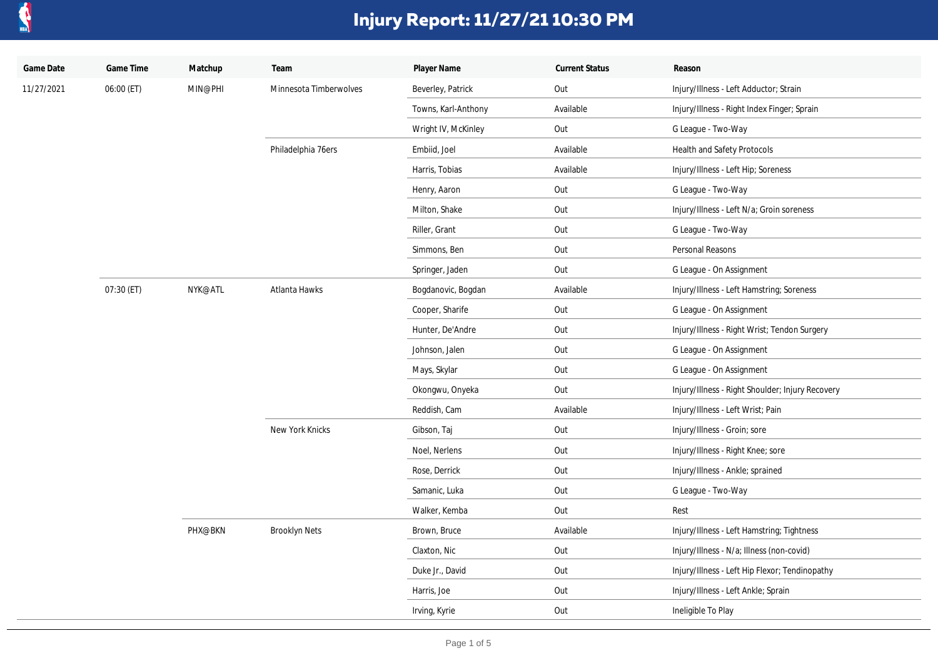

| Game Date  | Game Time  | Matchup | Team                   | Player Name         | <b>Current Status</b> | Reason                                           |
|------------|------------|---------|------------------------|---------------------|-----------------------|--------------------------------------------------|
| 11/27/2021 | 06:00 (ET) | MIN@PHI | Minnesota Timberwolves | Beverley, Patrick   | Out                   | Injury/Illness - Left Adductor; Strain           |
|            |            |         |                        | Towns, Karl-Anthony | Available             | Injury/Illness - Right Index Finger; Sprain      |
|            |            |         |                        | Wright IV, McKinley | Out                   | G League - Two-Way                               |
|            |            |         | Philadelphia 76ers     | Embiid, Joel        | Available             | Health and Safety Protocols                      |
|            |            |         |                        | Harris, Tobias      | Available             | Injury/Illness - Left Hip; Soreness              |
|            |            |         |                        | Henry, Aaron        | Out                   | G League - Two-Way                               |
|            |            |         |                        | Milton, Shake       | Out                   | Injury/Illness - Left N/a; Groin soreness        |
|            |            |         |                        | Riller, Grant       | Out                   | G League - Two-Way                               |
|            |            |         |                        | Simmons, Ben        | Out                   | Personal Reasons                                 |
|            |            |         |                        | Springer, Jaden     | Out                   | G League - On Assignment                         |
|            | 07:30 (ET) | NYK@ATL | Atlanta Hawks          | Bogdanovic, Bogdan  | Available             | Injury/Illness - Left Hamstring; Soreness        |
|            |            |         |                        | Cooper, Sharife     | Out                   | G League - On Assignment                         |
|            |            |         |                        | Hunter, De'Andre    | Out                   | Injury/Illness - Right Wrist; Tendon Surgery     |
|            |            |         |                        | Johnson, Jalen      | Out                   | G League - On Assignment                         |
|            |            |         |                        | Mays, Skylar        | Out                   | G League - On Assignment                         |
|            |            |         |                        | Okongwu, Onyeka     | Out                   | Injury/Illness - Right Shoulder; Injury Recovery |
|            |            |         |                        | Reddish, Cam        | Available             | Injury/Illness - Left Wrist; Pain                |
|            |            |         | New York Knicks        | Gibson, Taj         | Out                   | Injury/Illness - Groin; sore                     |
|            |            |         |                        | Noel, Nerlens       | Out                   | Injury/Illness - Right Knee; sore                |
|            |            |         |                        | Rose, Derrick       | Out                   | Injury/Illness - Ankle; sprained                 |
|            |            |         |                        | Samanic, Luka       | Out                   | G League - Two-Way                               |
|            |            |         |                        | Walker, Kemba       | Out                   | Rest                                             |
|            |            | PHX@BKN | <b>Brooklyn Nets</b>   | Brown, Bruce        | Available             | Injury/Illness - Left Hamstring; Tightness       |
|            |            |         |                        | Claxton, Nic        | Out                   | Injury/Illness - N/a; Illness (non-covid)        |
|            |            |         |                        | Duke Jr., David     | Out                   | Injury/Illness - Left Hip Flexor; Tendinopathy   |
|            |            |         |                        | Harris, Joe         | Out                   | Injury/Illness - Left Ankle; Sprain              |
|            |            |         |                        | Irving, Kyrie       | Out                   | Ineligible To Play                               |
|            |            |         |                        |                     |                       |                                                  |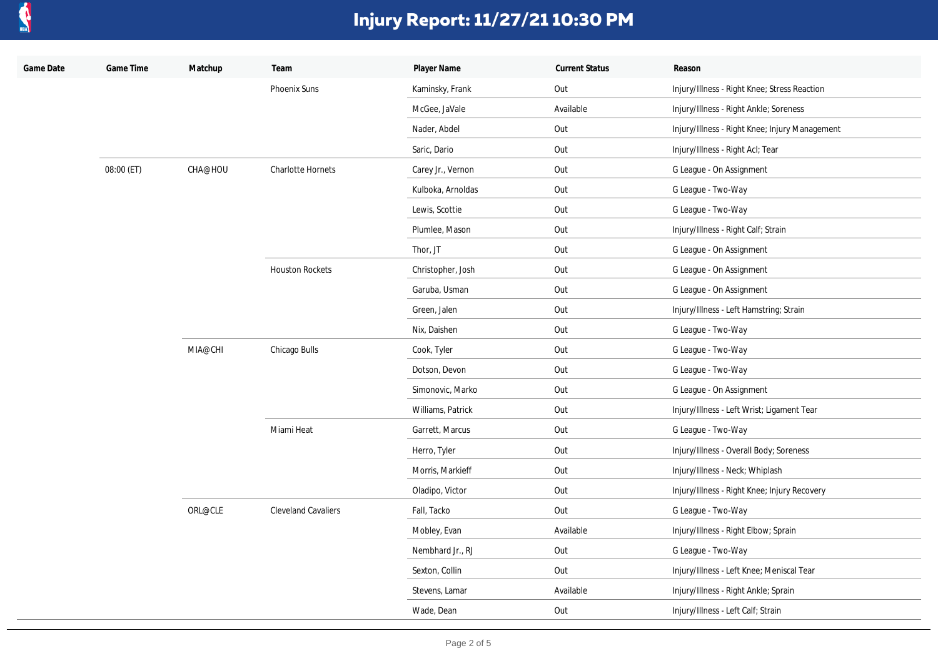

| Game Date | Game Time  | Matchup | Team                       | Player Name       | <b>Current Status</b>     | Reason                                         |
|-----------|------------|---------|----------------------------|-------------------|---------------------------|------------------------------------------------|
|           |            |         | Phoenix Suns               | Kaminsky, Frank   | Out                       | Injury/Illness - Right Knee; Stress Reaction   |
|           |            |         |                            | McGee, JaVale     | Available                 | Injury/Illness - Right Ankle; Soreness         |
|           |            |         |                            | Nader, Abdel      | Out                       | Injury/Illness - Right Knee; Injury Management |
|           |            |         |                            | Saric, Dario      | Out                       | Injury/Illness - Right Acl; Tear               |
|           | 08:00 (ET) | CHA@HOU | Charlotte Hornets          | Carey Jr., Vernon | Out                       | G League - On Assignment                       |
|           |            |         |                            | Kulboka, Arnoldas | Out                       | G League - Two-Way                             |
|           |            |         |                            | Lewis, Scottie    | Out                       | G League - Two-Way                             |
|           |            |         |                            | Plumlee, Mason    | Out                       | Injury/Illness - Right Calf; Strain            |
|           |            |         |                            | Thor, JT          | Out                       | G League - On Assignment                       |
|           |            |         | <b>Houston Rockets</b>     | Christopher, Josh | Out                       | G League - On Assignment                       |
|           |            |         |                            | Garuba, Usman     | Out                       | G League - On Assignment                       |
|           |            |         |                            | Green, Jalen      | Out                       | Injury/Illness - Left Hamstring; Strain        |
|           |            |         |                            | Nix, Daishen      | Out                       | G League - Two-Way                             |
|           |            | MIA@CHI | Chicago Bulls              | Cook, Tyler       | Out                       | G League - Two-Way                             |
|           |            |         |                            | Dotson, Devon     | Out                       | G League - Two-Way                             |
|           |            |         |                            | Simonovic, Marko  | Out                       | G League - On Assignment                       |
|           |            |         |                            | Williams, Patrick | Out                       | Injury/Illness - Left Wrist; Ligament Tear     |
|           |            |         | Miami Heat                 | Garrett, Marcus   | Out                       | G League - Two-Way                             |
|           |            |         |                            | Herro, Tyler      | Out                       | Injury/Illness - Overall Body; Soreness        |
|           |            |         |                            | Morris, Markieff  | Out                       | Injury/Illness - Neck; Whiplash                |
|           |            |         |                            | Oladipo, Victor   | Out                       | Injury/Illness - Right Knee; Injury Recovery   |
|           |            | ORL@CLE | <b>Cleveland Cavaliers</b> | Fall, Tacko       | Out<br>G League - Two-Way |                                                |
|           |            |         |                            | Mobley, Evan      | Available                 | Injury/Illness - Right Elbow; Sprain           |
|           |            |         |                            | Nembhard Jr., RJ  | Out                       | G League - Two-Way                             |
|           |            |         |                            | Sexton, Collin    | Out                       | Injury/Illness - Left Knee; Meniscal Tear      |
|           |            |         |                            | Stevens, Lamar    | Available                 | Injury/Illness - Right Ankle; Sprain           |
|           |            |         |                            | Wade, Dean        | Out                       | Injury/Illness - Left Calf; Strain             |
|           |            |         |                            |                   |                           |                                                |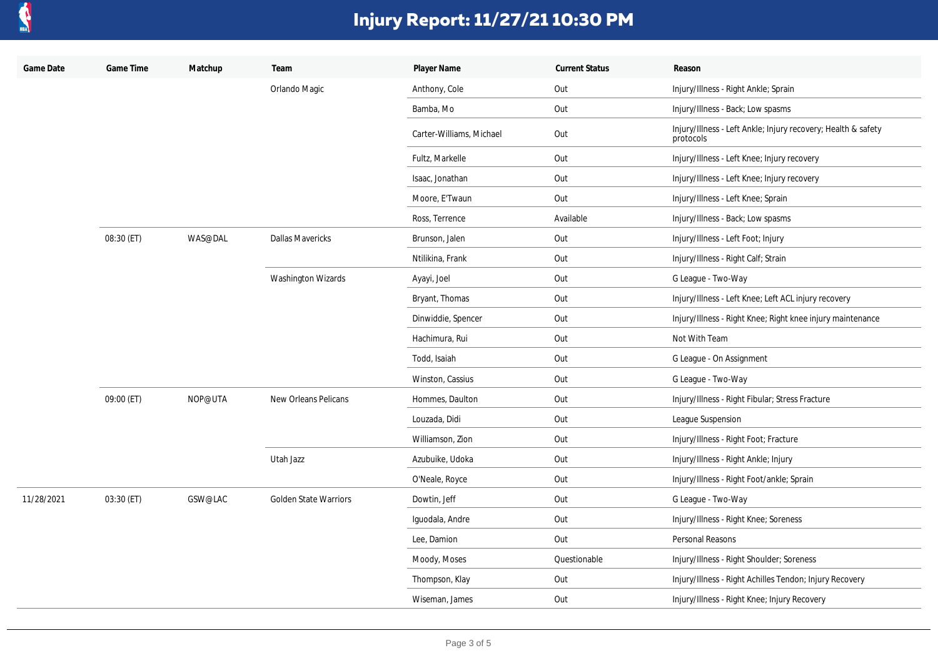

| Game Date  | Game Time  | Matchup | Team                         | Player Name              | <b>Current Status</b> | Reason                                                                     |
|------------|------------|---------|------------------------------|--------------------------|-----------------------|----------------------------------------------------------------------------|
|            |            |         | Orlando Magic                | Anthony, Cole            | Out                   | Injury/Illness - Right Ankle; Sprain                                       |
|            |            |         |                              | Bamba, Mo                | Out                   | Injury/Illness - Back; Low spasms                                          |
|            |            |         |                              | Carter-Williams, Michael | Out                   | Injury/Illness - Left Ankle; Injury recovery; Health & safety<br>protocols |
|            |            |         |                              | Fultz, Markelle          | Out                   | Injury/Illness - Left Knee; Injury recovery                                |
|            |            |         |                              | Isaac, Jonathan          | Out                   | Injury/Illness - Left Knee; Injury recovery                                |
|            |            |         |                              | Moore, E'Twaun           | Out                   | Injury/Illness - Left Knee; Sprain                                         |
|            |            |         |                              | Ross, Terrence           | Available             | Injury/Illness - Back; Low spasms                                          |
|            | 08:30 (ET) | WAS@DAL | <b>Dallas Mavericks</b>      | Brunson, Jalen           | Out                   | Injury/Illness - Left Foot; Injury                                         |
|            |            |         |                              | Ntilikina, Frank         | Out                   | Injury/Illness - Right Calf; Strain                                        |
|            |            |         | <b>Washington Wizards</b>    | Ayayi, Joel              | Out                   | G League - Two-Way                                                         |
|            |            |         |                              | Bryant, Thomas           | Out                   | Injury/Illness - Left Knee; Left ACL injury recovery                       |
|            |            |         |                              | Dinwiddie, Spencer       | Out                   | Injury/Illness - Right Knee; Right knee injury maintenance                 |
|            |            |         |                              | Hachimura, Rui           | Out                   | Not With Team                                                              |
|            |            |         |                              | Todd, Isaiah             | Out                   | G League - On Assignment                                                   |
|            |            |         |                              | Winston, Cassius         | Out                   | G League - Two-Way                                                         |
|            | 09:00 (ET) | NOP@UTA | <b>New Orleans Pelicans</b>  | Hommes, Daulton          | Out                   | Injury/Illness - Right Fibular; Stress Fracture                            |
|            |            |         |                              | Louzada, Didi            | Out                   | League Suspension                                                          |
|            |            |         |                              | Williamson, Zion         | Out                   | Injury/Illness - Right Foot; Fracture                                      |
|            |            |         | Utah Jazz                    | Azubuike, Udoka          | Out                   | Injury/Illness - Right Ankle; Injury                                       |
|            |            |         |                              | O'Neale, Royce           | Out                   | Injury/Illness - Right Foot/ankle; Sprain                                  |
| 11/28/2021 | 03:30 (ET) | GSW@LAC | <b>Golden State Warriors</b> | Dowtin, Jeff             | Out                   | G League - Two-Way                                                         |
|            |            |         |                              | Iguodala, Andre          | Out                   | Injury/Illness - Right Knee; Soreness                                      |
|            |            |         |                              | Lee, Damion              | Out                   | Personal Reasons                                                           |
|            |            |         |                              | Moody, Moses             | Questionable          | Injury/Illness - Right Shoulder; Soreness                                  |
|            |            |         |                              | Thompson, Klay           | Out                   | Injury/Illness - Right Achilles Tendon; Injury Recovery                    |
|            |            |         |                              | Wiseman, James           | Out                   | Injury/Illness - Right Knee; Injury Recovery                               |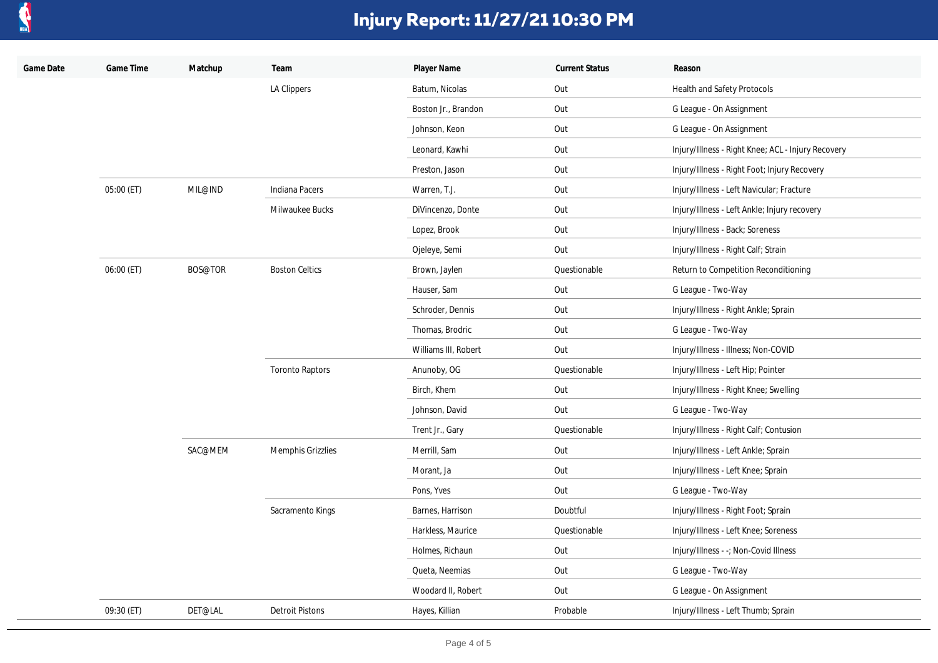

| Game Date | Game Time  | Matchup | Team                     | Player Name          | <b>Current Status</b> | Reason                                             |
|-----------|------------|---------|--------------------------|----------------------|-----------------------|----------------------------------------------------|
|           |            |         | LA Clippers              | Batum, Nicolas       | Out                   | Health and Safety Protocols                        |
|           |            |         |                          | Boston Jr., Brandon  | Out                   | G League - On Assignment                           |
|           |            |         |                          | Johnson, Keon        | Out                   | G League - On Assignment                           |
|           |            |         |                          | Leonard, Kawhi       | Out                   | Injury/Illness - Right Knee; ACL - Injury Recovery |
|           |            |         |                          | Preston, Jason       | Out                   | Injury/Illness - Right Foot; Injury Recovery       |
|           | 05:00 (ET) | MIL@IND | <b>Indiana Pacers</b>    | Warren, T.J.         | Out                   | Injury/Illness - Left Navicular; Fracture          |
|           |            |         | Milwaukee Bucks          | DiVincenzo, Donte    | Out                   | Injury/Illness - Left Ankle; Injury recovery       |
|           |            |         |                          | Lopez, Brook         | Out                   | Injury/Illness - Back; Soreness                    |
|           |            |         |                          | Ojeleye, Semi        | Out                   | Injury/Illness - Right Calf; Strain                |
|           | 06:00 (ET) | BOS@TOR | <b>Boston Celtics</b>    | Brown, Jaylen        | Questionable          | Return to Competition Reconditioning               |
|           |            |         |                          | Hauser, Sam          | Out                   | G League - Two-Way                                 |
|           |            |         |                          | Schroder, Dennis     | Out                   | Injury/Illness - Right Ankle; Sprain               |
|           |            |         |                          | Thomas, Brodric      | Out                   | G League - Two-Way                                 |
|           |            |         |                          | Williams III, Robert | Out                   | Injury/Illness - Illness; Non-COVID                |
|           |            |         | <b>Toronto Raptors</b>   | Anunoby, OG          | Questionable          | Injury/Illness - Left Hip; Pointer                 |
|           |            |         |                          | Birch, Khem          | Out                   | Injury/Illness - Right Knee; Swelling              |
|           |            |         |                          | Johnson, David       | Out                   | G League - Two-Way                                 |
|           |            |         |                          | Trent Jr., Gary      | Questionable          | Injury/Illness - Right Calf; Contusion             |
|           |            | SAC@MEM | <b>Memphis Grizzlies</b> | Merrill, Sam         | Out                   | Injury/Illness - Left Ankle; Sprain                |
|           |            |         |                          | Morant, Ja           | Out                   | Injury/Illness - Left Knee; Sprain                 |
|           |            |         |                          | Pons, Yves           | Out                   | G League - Two-Way                                 |
|           |            |         | Sacramento Kings         | Barnes, Harrison     | Doubtful              | Injury/Illness - Right Foot; Sprain                |
|           |            |         |                          | Harkless, Maurice    | Questionable          | Injury/Illness - Left Knee; Soreness               |
|           |            |         |                          | Holmes, Richaun      | Out                   | Injury/Illness - -; Non-Covid Illness              |
|           |            |         |                          | Queta, Neemias       | Out                   | G League - Two-Way                                 |
|           |            |         |                          | Woodard II, Robert   | Out                   | G League - On Assignment                           |
|           | 09:30 (ET) | DET@LAL | <b>Detroit Pistons</b>   | Hayes, Killian       | Probable              | Injury/Illness - Left Thumb; Sprain                |
|           |            |         |                          |                      |                       |                                                    |